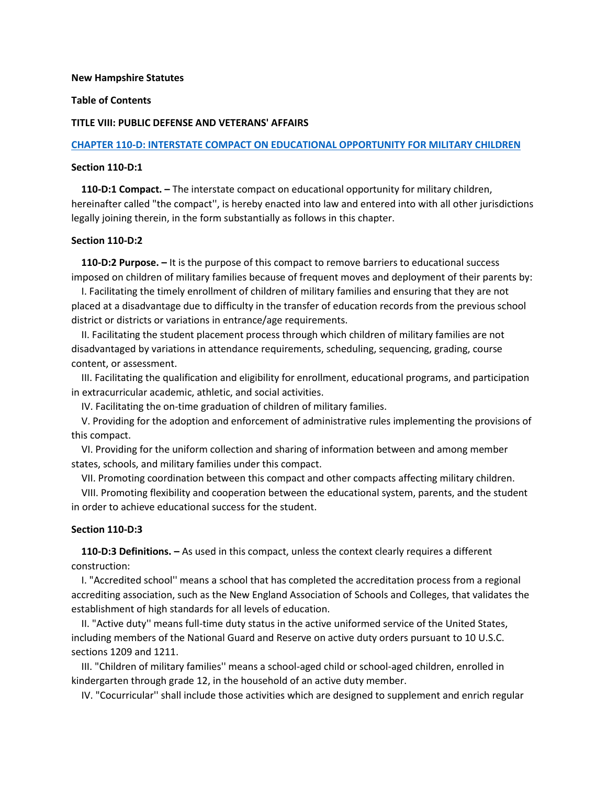#### **New Hampshire Statutes**

# **Table of Contents**

#### **TITLE VIII: PUBLIC DEFENSE AND VETERANS' AFFAIRS**

#### **[CHAPTER 110-D: INTERSTATE COMPACT ON EDUCATIONAL OPPORTUNITY FOR MILITARY CHILDREN](http://www.gencourt.state.nh.us/rsa/html/VIII/110-D/110-D-mrg.htm)**

#### **Section 110-D:1**

 **110-D:1 Compact. –** The interstate compact on educational opportunity for military children, hereinafter called "the compact'', is hereby enacted into law and entered into with all other jurisdictions legally joining therein, in the form substantially as follows in this chapter.

## **Section 110-D:2**

 **110-D:2 Purpose. –** It is the purpose of this compact to remove barriers to educational success imposed on children of military families because of frequent moves and deployment of their parents by:

 I. Facilitating the timely enrollment of children of military families and ensuring that they are not placed at a disadvantage due to difficulty in the transfer of education records from the previous school district or districts or variations in entrance/age requirements.

 II. Facilitating the student placement process through which children of military families are not disadvantaged by variations in attendance requirements, scheduling, sequencing, grading, course content, or assessment.

 III. Facilitating the qualification and eligibility for enrollment, educational programs, and participation in extracurricular academic, athletic, and social activities.

IV. Facilitating the on-time graduation of children of military families.

 V. Providing for the adoption and enforcement of administrative rules implementing the provisions of this compact.

 VI. Providing for the uniform collection and sharing of information between and among member states, schools, and military families under this compact.

VII. Promoting coordination between this compact and other compacts affecting military children.

 VIII. Promoting flexibility and cooperation between the educational system, parents, and the student in order to achieve educational success for the student.

## **Section 110-D:3**

 **110-D:3 Definitions. –** As used in this compact, unless the context clearly requires a different construction:

 I. "Accredited school'' means a school that has completed the accreditation process from a regional accrediting association, such as the New England Association of Schools and Colleges, that validates the establishment of high standards for all levels of education.

 II. "Active duty'' means full-time duty status in the active uniformed service of the United States, including members of the National Guard and Reserve on active duty orders pursuant to 10 U.S.C. sections 1209 and 1211.

 III. "Children of military families'' means a school-aged child or school-aged children, enrolled in kindergarten through grade 12, in the household of an active duty member.

IV. "Cocurricular'' shall include those activities which are designed to supplement and enrich regular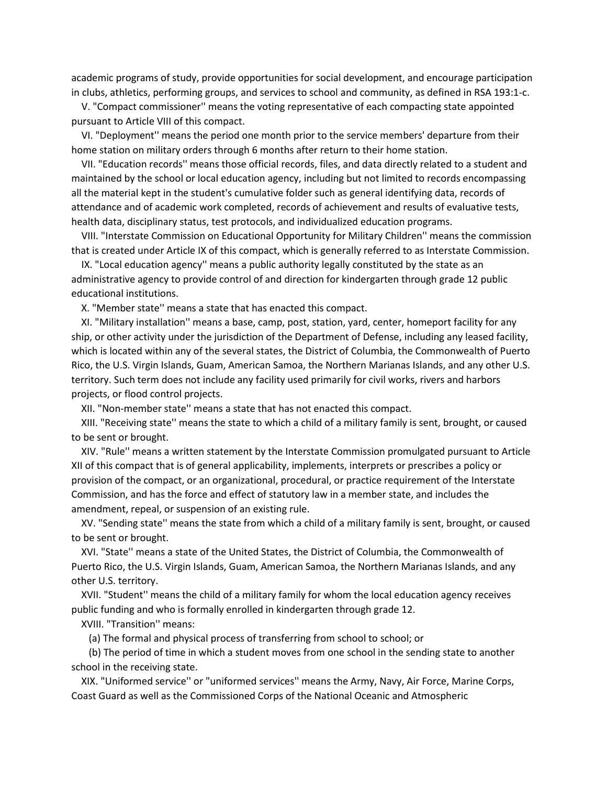academic programs of study, provide opportunities for social development, and encourage participation in clubs, athletics, performing groups, and services to school and community, as defined in RSA 193:1-c.

 V. "Compact commissioner'' means the voting representative of each compacting state appointed pursuant to Article VIII of this compact.

 VI. "Deployment'' means the period one month prior to the service members' departure from their home station on military orders through 6 months after return to their home station.

 VII. "Education records'' means those official records, files, and data directly related to a student and maintained by the school or local education agency, including but not limited to records encompassing all the material kept in the student's cumulative folder such as general identifying data, records of attendance and of academic work completed, records of achievement and results of evaluative tests, health data, disciplinary status, test protocols, and individualized education programs.

 VIII. "Interstate Commission on Educational Opportunity for Military Children'' means the commission that is created under Article IX of this compact, which is generally referred to as Interstate Commission.

 IX. "Local education agency'' means a public authority legally constituted by the state as an administrative agency to provide control of and direction for kindergarten through grade 12 public educational institutions.

X. "Member state'' means a state that has enacted this compact.

 XI. "Military installation'' means a base, camp, post, station, yard, center, homeport facility for any ship, or other activity under the jurisdiction of the Department of Defense, including any leased facility, which is located within any of the several states, the District of Columbia, the Commonwealth of Puerto Rico, the U.S. Virgin Islands, Guam, American Samoa, the Northern Marianas Islands, and any other U.S. territory. Such term does not include any facility used primarily for civil works, rivers and harbors projects, or flood control projects.

XII. "Non-member state'' means a state that has not enacted this compact.

 XIII. "Receiving state'' means the state to which a child of a military family is sent, brought, or caused to be sent or brought.

 XIV. "Rule'' means a written statement by the Interstate Commission promulgated pursuant to Article XII of this compact that is of general applicability, implements, interprets or prescribes a policy or provision of the compact, or an organizational, procedural, or practice requirement of the Interstate Commission, and has the force and effect of statutory law in a member state, and includes the amendment, repeal, or suspension of an existing rule.

 XV. "Sending state'' means the state from which a child of a military family is sent, brought, or caused to be sent or brought.

 XVI. "State'' means a state of the United States, the District of Columbia, the Commonwealth of Puerto Rico, the U.S. Virgin Islands, Guam, American Samoa, the Northern Marianas Islands, and any other U.S. territory.

 XVII. "Student'' means the child of a military family for whom the local education agency receives public funding and who is formally enrolled in kindergarten through grade 12.

XVIII. "Transition'' means:

(a) The formal and physical process of transferring from school to school; or

 (b) The period of time in which a student moves from one school in the sending state to another school in the receiving state.

 XIX. "Uniformed service'' or "uniformed services'' means the Army, Navy, Air Force, Marine Corps, Coast Guard as well as the Commissioned Corps of the National Oceanic and Atmospheric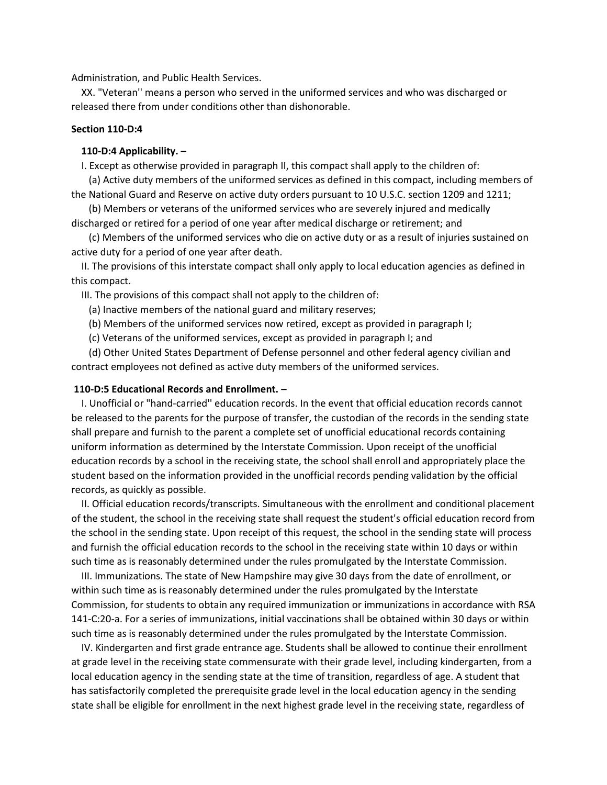Administration, and Public Health Services.

 XX. "Veteran'' means a person who served in the uniformed services and who was discharged or released there from under conditions other than dishonorable.

# **Section 110-D:4**

## **110-D:4 Applicability. –**

I. Except as otherwise provided in paragraph II, this compact shall apply to the children of:

 (a) Active duty members of the uniformed services as defined in this compact, including members of the National Guard and Reserve on active duty orders pursuant to 10 U.S.C. section 1209 and 1211;

 (b) Members or veterans of the uniformed services who are severely injured and medically discharged or retired for a period of one year after medical discharge or retirement; and

 (c) Members of the uniformed services who die on active duty or as a result of injuries sustained on active duty for a period of one year after death.

 II. The provisions of this interstate compact shall only apply to local education agencies as defined in this compact.

III. The provisions of this compact shall not apply to the children of:

- (a) Inactive members of the national guard and military reserves;
- (b) Members of the uniformed services now retired, except as provided in paragraph I;
- (c) Veterans of the uniformed services, except as provided in paragraph I; and

 (d) Other United States Department of Defense personnel and other federal agency civilian and contract employees not defined as active duty members of the uniformed services.

#### **110-D:5 Educational Records and Enrollment. –**

 I. Unofficial or "hand-carried'' education records. In the event that official education records cannot be released to the parents for the purpose of transfer, the custodian of the records in the sending state shall prepare and furnish to the parent a complete set of unofficial educational records containing uniform information as determined by the Interstate Commission. Upon receipt of the unofficial education records by a school in the receiving state, the school shall enroll and appropriately place the student based on the information provided in the unofficial records pending validation by the official records, as quickly as possible.

 II. Official education records/transcripts. Simultaneous with the enrollment and conditional placement of the student, the school in the receiving state shall request the student's official education record from the school in the sending state. Upon receipt of this request, the school in the sending state will process and furnish the official education records to the school in the receiving state within 10 days or within such time as is reasonably determined under the rules promulgated by the Interstate Commission.

 III. Immunizations. The state of New Hampshire may give 30 days from the date of enrollment, or within such time as is reasonably determined under the rules promulgated by the Interstate Commission, for students to obtain any required immunization or immunizations in accordance with RSA 141-C:20-a. For a series of immunizations, initial vaccinations shall be obtained within 30 days or within such time as is reasonably determined under the rules promulgated by the Interstate Commission.

 IV. Kindergarten and first grade entrance age. Students shall be allowed to continue their enrollment at grade level in the receiving state commensurate with their grade level, including kindergarten, from a local education agency in the sending state at the time of transition, regardless of age. A student that has satisfactorily completed the prerequisite grade level in the local education agency in the sending state shall be eligible for enrollment in the next highest grade level in the receiving state, regardless of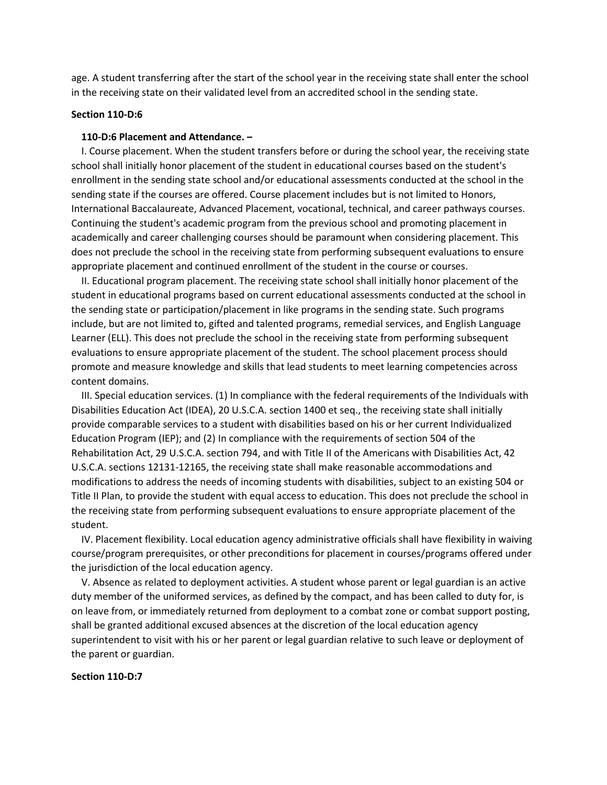age. A student transferring after the start of the school year in the receiving state shall enter the school in the receiving state on their validated level from an accredited school in the sending state.

# **Section 110-D:6**

## **110-D:6 Placement and Attendance. –**

 I. Course placement. When the student transfers before or during the school year, the receiving state school shall initially honor placement of the student in educational courses based on the student's enrollment in the sending state school and/or educational assessments conducted at the school in the sending state if the courses are offered. Course placement includes but is not limited to Honors, International Baccalaureate, Advanced Placement, vocational, technical, and career pathways courses. Continuing the student's academic program from the previous school and promoting placement in academically and career challenging courses should be paramount when considering placement. This does not preclude the school in the receiving state from performing subsequent evaluations to ensure appropriate placement and continued enrollment of the student in the course or courses.

 II. Educational program placement. The receiving state school shall initially honor placement of the student in educational programs based on current educational assessments conducted at the school in the sending state or participation/placement in like programs in the sending state. Such programs include, but are not limited to, gifted and talented programs, remedial services, and English Language Learner (ELL). This does not preclude the school in the receiving state from performing subsequent evaluations to ensure appropriate placement of the student. The school placement process should promote and measure knowledge and skills that lead students to meet learning competencies across content domains.

 III. Special education services. (1) In compliance with the federal requirements of the Individuals with Disabilities Education Act (IDEA), 20 U.S.C.A. section 1400 et seq., the receiving state shall initially provide comparable services to a student with disabilities based on his or her current Individualized Education Program (IEP); and (2) In compliance with the requirements of section 504 of the Rehabilitation Act, 29 U.S.C.A. section 794, and with Title II of the Americans with Disabilities Act, 42 U.S.C.A. sections 12131-12165, the receiving state shall make reasonable accommodations and modifications to address the needs of incoming students with disabilities, subject to an existing 504 or Title II Plan, to provide the student with equal access to education. This does not preclude the school in the receiving state from performing subsequent evaluations to ensure appropriate placement of the student.

 IV. Placement flexibility. Local education agency administrative officials shall have flexibility in waiving course/program prerequisites, or other preconditions for placement in courses/programs offered under the jurisdiction of the local education agency.

 V. Absence as related to deployment activities. A student whose parent or legal guardian is an active duty member of the uniformed services, as defined by the compact, and has been called to duty for, is on leave from, or immediately returned from deployment to a combat zone or combat support posting, shall be granted additional excused absences at the discretion of the local education agency superintendent to visit with his or her parent or legal guardian relative to such leave or deployment of the parent or guardian.

## **Section 110-D:7**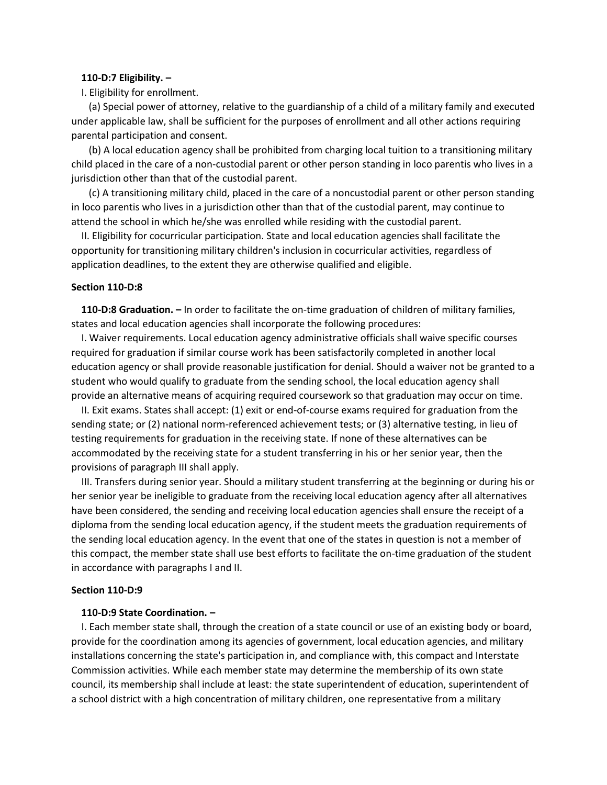#### **110-D:7 Eligibility. –**

I. Eligibility for enrollment.

 (a) Special power of attorney, relative to the guardianship of a child of a military family and executed under applicable law, shall be sufficient for the purposes of enrollment and all other actions requiring parental participation and consent.

 (b) A local education agency shall be prohibited from charging local tuition to a transitioning military child placed in the care of a non-custodial parent or other person standing in loco parentis who lives in a jurisdiction other than that of the custodial parent.

 (c) A transitioning military child, placed in the care of a noncustodial parent or other person standing in loco parentis who lives in a jurisdiction other than that of the custodial parent, may continue to attend the school in which he/she was enrolled while residing with the custodial parent.

 II. Eligibility for cocurricular participation. State and local education agencies shall facilitate the opportunity for transitioning military children's inclusion in cocurricular activities, regardless of application deadlines, to the extent they are otherwise qualified and eligible.

#### **Section 110-D:8**

 **110-D:8 Graduation. –** In order to facilitate the on-time graduation of children of military families, states and local education agencies shall incorporate the following procedures:

 I. Waiver requirements. Local education agency administrative officials shall waive specific courses required for graduation if similar course work has been satisfactorily completed in another local education agency or shall provide reasonable justification for denial. Should a waiver not be granted to a student who would qualify to graduate from the sending school, the local education agency shall provide an alternative means of acquiring required coursework so that graduation may occur on time.

 II. Exit exams. States shall accept: (1) exit or end-of-course exams required for graduation from the sending state; or (2) national norm-referenced achievement tests; or (3) alternative testing, in lieu of testing requirements for graduation in the receiving state. If none of these alternatives can be accommodated by the receiving state for a student transferring in his or her senior year, then the provisions of paragraph III shall apply.

 III. Transfers during senior year. Should a military student transferring at the beginning or during his or her senior year be ineligible to graduate from the receiving local education agency after all alternatives have been considered, the sending and receiving local education agencies shall ensure the receipt of a diploma from the sending local education agency, if the student meets the graduation requirements of the sending local education agency. In the event that one of the states in question is not a member of this compact, the member state shall use best efforts to facilitate the on-time graduation of the student in accordance with paragraphs I and II.

# **Section 110-D:9**

### **110-D:9 State Coordination. –**

 I. Each member state shall, through the creation of a state council or use of an existing body or board, provide for the coordination among its agencies of government, local education agencies, and military installations concerning the state's participation in, and compliance with, this compact and Interstate Commission activities. While each member state may determine the membership of its own state council, its membership shall include at least: the state superintendent of education, superintendent of a school district with a high concentration of military children, one representative from a military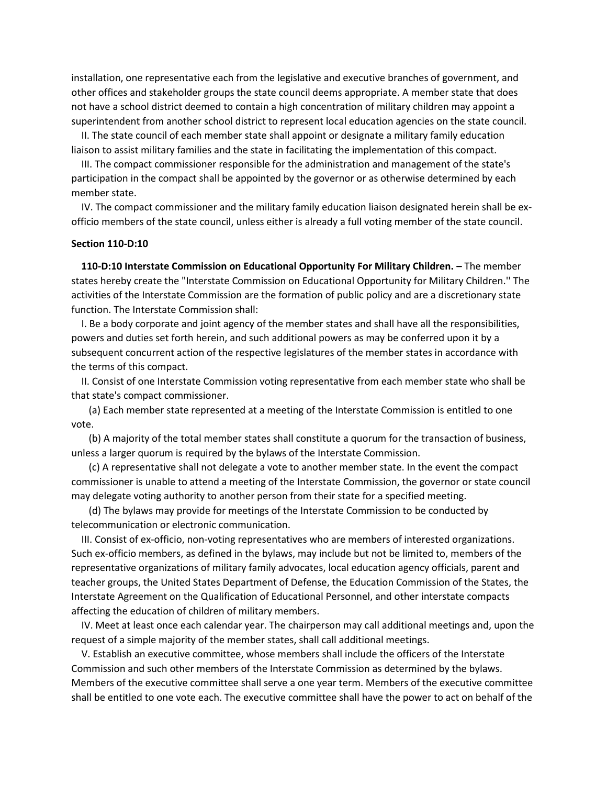installation, one representative each from the legislative and executive branches of government, and other offices and stakeholder groups the state council deems appropriate. A member state that does not have a school district deemed to contain a high concentration of military children may appoint a superintendent from another school district to represent local education agencies on the state council.

 II. The state council of each member state shall appoint or designate a military family education liaison to assist military families and the state in facilitating the implementation of this compact.

 III. The compact commissioner responsible for the administration and management of the state's participation in the compact shall be appointed by the governor or as otherwise determined by each member state.

 IV. The compact commissioner and the military family education liaison designated herein shall be exofficio members of the state council, unless either is already a full voting member of the state council.

# **Section 110-D:10**

 **110-D:10 Interstate Commission on Educational Opportunity For Military Children. –** The member states hereby create the "Interstate Commission on Educational Opportunity for Military Children.'' The activities of the Interstate Commission are the formation of public policy and are a discretionary state function. The Interstate Commission shall:

 I. Be a body corporate and joint agency of the member states and shall have all the responsibilities, powers and duties set forth herein, and such additional powers as may be conferred upon it by a subsequent concurrent action of the respective legislatures of the member states in accordance with the terms of this compact.

 II. Consist of one Interstate Commission voting representative from each member state who shall be that state's compact commissioner.

 (a) Each member state represented at a meeting of the Interstate Commission is entitled to one vote.

 (b) A majority of the total member states shall constitute a quorum for the transaction of business, unless a larger quorum is required by the bylaws of the Interstate Commission.

 (c) A representative shall not delegate a vote to another member state. In the event the compact commissioner is unable to attend a meeting of the Interstate Commission, the governor or state council may delegate voting authority to another person from their state for a specified meeting.

 (d) The bylaws may provide for meetings of the Interstate Commission to be conducted by telecommunication or electronic communication.

 III. Consist of ex-officio, non-voting representatives who are members of interested organizations. Such ex-officio members, as defined in the bylaws, may include but not be limited to, members of the representative organizations of military family advocates, local education agency officials, parent and teacher groups, the United States Department of Defense, the Education Commission of the States, the Interstate Agreement on the Qualification of Educational Personnel, and other interstate compacts affecting the education of children of military members.

 IV. Meet at least once each calendar year. The chairperson may call additional meetings and, upon the request of a simple majority of the member states, shall call additional meetings.

 V. Establish an executive committee, whose members shall include the officers of the Interstate Commission and such other members of the Interstate Commission as determined by the bylaws. Members of the executive committee shall serve a one year term. Members of the executive committee shall be entitled to one vote each. The executive committee shall have the power to act on behalf of the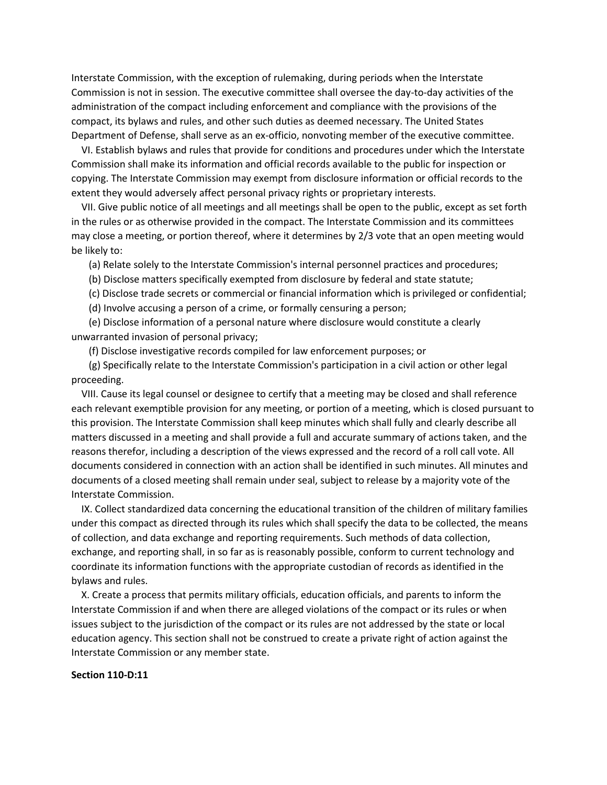Interstate Commission, with the exception of rulemaking, during periods when the Interstate Commission is not in session. The executive committee shall oversee the day-to-day activities of the administration of the compact including enforcement and compliance with the provisions of the compact, its bylaws and rules, and other such duties as deemed necessary. The United States Department of Defense, shall serve as an ex-officio, nonvoting member of the executive committee.

 VI. Establish bylaws and rules that provide for conditions and procedures under which the Interstate Commission shall make its information and official records available to the public for inspection or copying. The Interstate Commission may exempt from disclosure information or official records to the extent they would adversely affect personal privacy rights or proprietary interests.

 VII. Give public notice of all meetings and all meetings shall be open to the public, except as set forth in the rules or as otherwise provided in the compact. The Interstate Commission and its committees may close a meeting, or portion thereof, where it determines by 2/3 vote that an open meeting would be likely to:

(a) Relate solely to the Interstate Commission's internal personnel practices and procedures;

(b) Disclose matters specifically exempted from disclosure by federal and state statute;

(c) Disclose trade secrets or commercial or financial information which is privileged or confidential;

(d) Involve accusing a person of a crime, or formally censuring a person;

 (e) Disclose information of a personal nature where disclosure would constitute a clearly unwarranted invasion of personal privacy;

(f) Disclose investigative records compiled for law enforcement purposes; or

 (g) Specifically relate to the Interstate Commission's participation in a civil action or other legal proceeding.

 VIII. Cause its legal counsel or designee to certify that a meeting may be closed and shall reference each relevant exemptible provision for any meeting, or portion of a meeting, which is closed pursuant to this provision. The Interstate Commission shall keep minutes which shall fully and clearly describe all matters discussed in a meeting and shall provide a full and accurate summary of actions taken, and the reasons therefor, including a description of the views expressed and the record of a roll call vote. All documents considered in connection with an action shall be identified in such minutes. All minutes and documents of a closed meeting shall remain under seal, subject to release by a majority vote of the Interstate Commission.

 IX. Collect standardized data concerning the educational transition of the children of military families under this compact as directed through its rules which shall specify the data to be collected, the means of collection, and data exchange and reporting requirements. Such methods of data collection, exchange, and reporting shall, in so far as is reasonably possible, conform to current technology and coordinate its information functions with the appropriate custodian of records as identified in the bylaws and rules.

 X. Create a process that permits military officials, education officials, and parents to inform the Interstate Commission if and when there are alleged violations of the compact or its rules or when issues subject to the jurisdiction of the compact or its rules are not addressed by the state or local education agency. This section shall not be construed to create a private right of action against the Interstate Commission or any member state.

## **Section 110-D:11**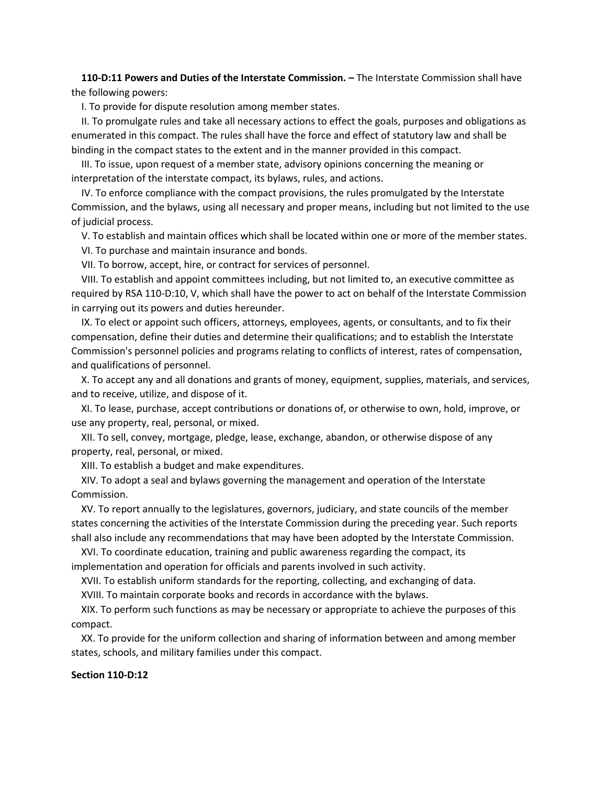**110-D:11 Powers and Duties of the Interstate Commission. –** The Interstate Commission shall have the following powers:

I. To provide for dispute resolution among member states.

 II. To promulgate rules and take all necessary actions to effect the goals, purposes and obligations as enumerated in this compact. The rules shall have the force and effect of statutory law and shall be binding in the compact states to the extent and in the manner provided in this compact.

 III. To issue, upon request of a member state, advisory opinions concerning the meaning or interpretation of the interstate compact, its bylaws, rules, and actions.

 IV. To enforce compliance with the compact provisions, the rules promulgated by the Interstate Commission, and the bylaws, using all necessary and proper means, including but not limited to the use of judicial process.

V. To establish and maintain offices which shall be located within one or more of the member states.

VI. To purchase and maintain insurance and bonds.

VII. To borrow, accept, hire, or contract for services of personnel.

 VIII. To establish and appoint committees including, but not limited to, an executive committee as required by RSA 110-D:10, V, which shall have the power to act on behalf of the Interstate Commission in carrying out its powers and duties hereunder.

 IX. To elect or appoint such officers, attorneys, employees, agents, or consultants, and to fix their compensation, define their duties and determine their qualifications; and to establish the Interstate Commission's personnel policies and programs relating to conflicts of interest, rates of compensation, and qualifications of personnel.

 X. To accept any and all donations and grants of money, equipment, supplies, materials, and services, and to receive, utilize, and dispose of it.

 XI. To lease, purchase, accept contributions or donations of, or otherwise to own, hold, improve, or use any property, real, personal, or mixed.

 XII. To sell, convey, mortgage, pledge, lease, exchange, abandon, or otherwise dispose of any property, real, personal, or mixed.

XIII. To establish a budget and make expenditures.

 XIV. To adopt a seal and bylaws governing the management and operation of the Interstate Commission.

 XV. To report annually to the legislatures, governors, judiciary, and state councils of the member states concerning the activities of the Interstate Commission during the preceding year. Such reports shall also include any recommendations that may have been adopted by the Interstate Commission.

 XVI. To coordinate education, training and public awareness regarding the compact, its implementation and operation for officials and parents involved in such activity.

XVII. To establish uniform standards for the reporting, collecting, and exchanging of data.

XVIII. To maintain corporate books and records in accordance with the bylaws.

 XIX. To perform such functions as may be necessary or appropriate to achieve the purposes of this compact.

 XX. To provide for the uniform collection and sharing of information between and among member states, schools, and military families under this compact.

## **Section 110-D:12**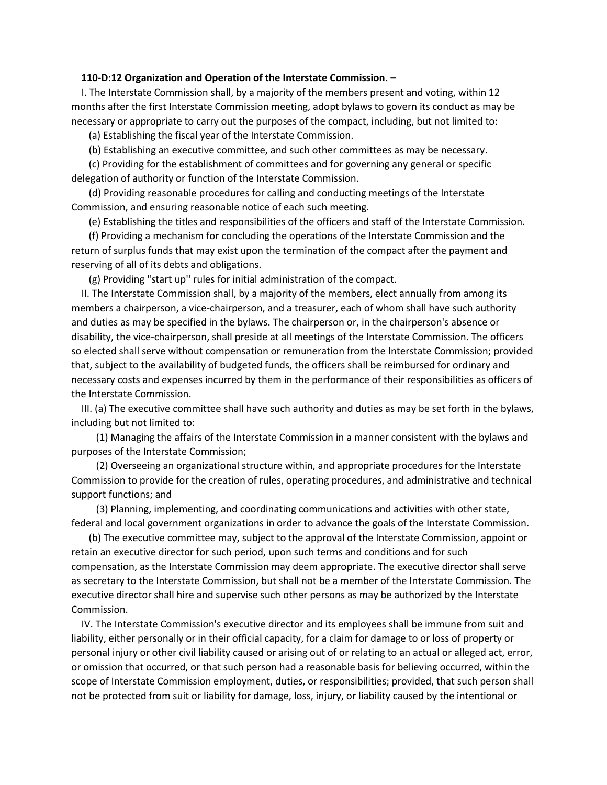#### **110-D:12 Organization and Operation of the Interstate Commission. –**

 I. The Interstate Commission shall, by a majority of the members present and voting, within 12 months after the first Interstate Commission meeting, adopt bylaws to govern its conduct as may be necessary or appropriate to carry out the purposes of the compact, including, but not limited to:

(a) Establishing the fiscal year of the Interstate Commission.

(b) Establishing an executive committee, and such other committees as may be necessary.

 (c) Providing for the establishment of committees and for governing any general or specific delegation of authority or function of the Interstate Commission.

 (d) Providing reasonable procedures for calling and conducting meetings of the Interstate Commission, and ensuring reasonable notice of each such meeting.

(e) Establishing the titles and responsibilities of the officers and staff of the Interstate Commission.

 (f) Providing a mechanism for concluding the operations of the Interstate Commission and the return of surplus funds that may exist upon the termination of the compact after the payment and reserving of all of its debts and obligations.

(g) Providing "start up'' rules for initial administration of the compact.

 II. The Interstate Commission shall, by a majority of the members, elect annually from among its members a chairperson, a vice-chairperson, and a treasurer, each of whom shall have such authority and duties as may be specified in the bylaws. The chairperson or, in the chairperson's absence or disability, the vice-chairperson, shall preside at all meetings of the Interstate Commission. The officers so elected shall serve without compensation or remuneration from the Interstate Commission; provided that, subject to the availability of budgeted funds, the officers shall be reimbursed for ordinary and necessary costs and expenses incurred by them in the performance of their responsibilities as officers of the Interstate Commission.

 III. (a) The executive committee shall have such authority and duties as may be set forth in the bylaws, including but not limited to:

 (1) Managing the affairs of the Interstate Commission in a manner consistent with the bylaws and purposes of the Interstate Commission;

 (2) Overseeing an organizational structure within, and appropriate procedures for the Interstate Commission to provide for the creation of rules, operating procedures, and administrative and technical support functions; and

 (3) Planning, implementing, and coordinating communications and activities with other state, federal and local government organizations in order to advance the goals of the Interstate Commission.

 (b) The executive committee may, subject to the approval of the Interstate Commission, appoint or retain an executive director for such period, upon such terms and conditions and for such compensation, as the Interstate Commission may deem appropriate. The executive director shall serve as secretary to the Interstate Commission, but shall not be a member of the Interstate Commission. The executive director shall hire and supervise such other persons as may be authorized by the Interstate Commission.

 IV. The Interstate Commission's executive director and its employees shall be immune from suit and liability, either personally or in their official capacity, for a claim for damage to or loss of property or personal injury or other civil liability caused or arising out of or relating to an actual or alleged act, error, or omission that occurred, or that such person had a reasonable basis for believing occurred, within the scope of Interstate Commission employment, duties, or responsibilities; provided, that such person shall not be protected from suit or liability for damage, loss, injury, or liability caused by the intentional or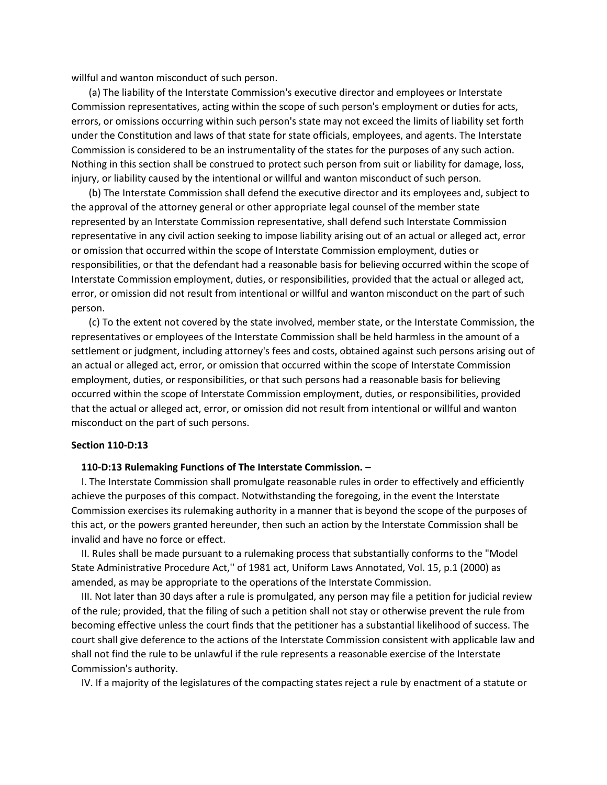willful and wanton misconduct of such person.

 (a) The liability of the Interstate Commission's executive director and employees or Interstate Commission representatives, acting within the scope of such person's employment or duties for acts, errors, or omissions occurring within such person's state may not exceed the limits of liability set forth under the Constitution and laws of that state for state officials, employees, and agents. The Interstate Commission is considered to be an instrumentality of the states for the purposes of any such action. Nothing in this section shall be construed to protect such person from suit or liability for damage, loss, injury, or liability caused by the intentional or willful and wanton misconduct of such person.

 (b) The Interstate Commission shall defend the executive director and its employees and, subject to the approval of the attorney general or other appropriate legal counsel of the member state represented by an Interstate Commission representative, shall defend such Interstate Commission representative in any civil action seeking to impose liability arising out of an actual or alleged act, error or omission that occurred within the scope of Interstate Commission employment, duties or responsibilities, or that the defendant had a reasonable basis for believing occurred within the scope of Interstate Commission employment, duties, or responsibilities, provided that the actual or alleged act, error, or omission did not result from intentional or willful and wanton misconduct on the part of such person.

 (c) To the extent not covered by the state involved, member state, or the Interstate Commission, the representatives or employees of the Interstate Commission shall be held harmless in the amount of a settlement or judgment, including attorney's fees and costs, obtained against such persons arising out of an actual or alleged act, error, or omission that occurred within the scope of Interstate Commission employment, duties, or responsibilities, or that such persons had a reasonable basis for believing occurred within the scope of Interstate Commission employment, duties, or responsibilities, provided that the actual or alleged act, error, or omission did not result from intentional or willful and wanton misconduct on the part of such persons.

## **Section 110-D:13**

## **110-D:13 Rulemaking Functions of The Interstate Commission. –**

 I. The Interstate Commission shall promulgate reasonable rules in order to effectively and efficiently achieve the purposes of this compact. Notwithstanding the foregoing, in the event the Interstate Commission exercises its rulemaking authority in a manner that is beyond the scope of the purposes of this act, or the powers granted hereunder, then such an action by the Interstate Commission shall be invalid and have no force or effect.

 II. Rules shall be made pursuant to a rulemaking process that substantially conforms to the "Model State Administrative Procedure Act,'' of 1981 act, Uniform Laws Annotated, Vol. 15, p.1 (2000) as amended, as may be appropriate to the operations of the Interstate Commission.

 III. Not later than 30 days after a rule is promulgated, any person may file a petition for judicial review of the rule; provided, that the filing of such a petition shall not stay or otherwise prevent the rule from becoming effective unless the court finds that the petitioner has a substantial likelihood of success. The court shall give deference to the actions of the Interstate Commission consistent with applicable law and shall not find the rule to be unlawful if the rule represents a reasonable exercise of the Interstate Commission's authority.

IV. If a majority of the legislatures of the compacting states reject a rule by enactment of a statute or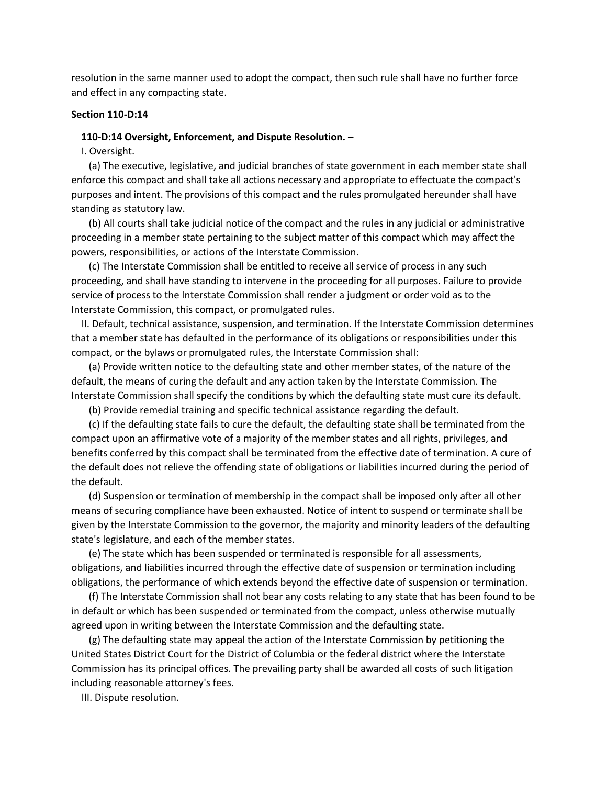resolution in the same manner used to adopt the compact, then such rule shall have no further force and effect in any compacting state.

# **Section 110-D:14**

# **110-D:14 Oversight, Enforcement, and Dispute Resolution. –**

I. Oversight.

 (a) The executive, legislative, and judicial branches of state government in each member state shall enforce this compact and shall take all actions necessary and appropriate to effectuate the compact's purposes and intent. The provisions of this compact and the rules promulgated hereunder shall have standing as statutory law.

 (b) All courts shall take judicial notice of the compact and the rules in any judicial or administrative proceeding in a member state pertaining to the subject matter of this compact which may affect the powers, responsibilities, or actions of the Interstate Commission.

 (c) The Interstate Commission shall be entitled to receive all service of process in any such proceeding, and shall have standing to intervene in the proceeding for all purposes. Failure to provide service of process to the Interstate Commission shall render a judgment or order void as to the Interstate Commission, this compact, or promulgated rules.

 II. Default, technical assistance, suspension, and termination. If the Interstate Commission determines that a member state has defaulted in the performance of its obligations or responsibilities under this compact, or the bylaws or promulgated rules, the Interstate Commission shall:

 (a) Provide written notice to the defaulting state and other member states, of the nature of the default, the means of curing the default and any action taken by the Interstate Commission. The Interstate Commission shall specify the conditions by which the defaulting state must cure its default.

(b) Provide remedial training and specific technical assistance regarding the default.

 (c) If the defaulting state fails to cure the default, the defaulting state shall be terminated from the compact upon an affirmative vote of a majority of the member states and all rights, privileges, and benefits conferred by this compact shall be terminated from the effective date of termination. A cure of the default does not relieve the offending state of obligations or liabilities incurred during the period of the default.

 (d) Suspension or termination of membership in the compact shall be imposed only after all other means of securing compliance have been exhausted. Notice of intent to suspend or terminate shall be given by the Interstate Commission to the governor, the majority and minority leaders of the defaulting state's legislature, and each of the member states.

 (e) The state which has been suspended or terminated is responsible for all assessments, obligations, and liabilities incurred through the effective date of suspension or termination including obligations, the performance of which extends beyond the effective date of suspension or termination.

 (f) The Interstate Commission shall not bear any costs relating to any state that has been found to be in default or which has been suspended or terminated from the compact, unless otherwise mutually agreed upon in writing between the Interstate Commission and the defaulting state.

 (g) The defaulting state may appeal the action of the Interstate Commission by petitioning the United States District Court for the District of Columbia or the federal district where the Interstate Commission has its principal offices. The prevailing party shall be awarded all costs of such litigation including reasonable attorney's fees.

III. Dispute resolution.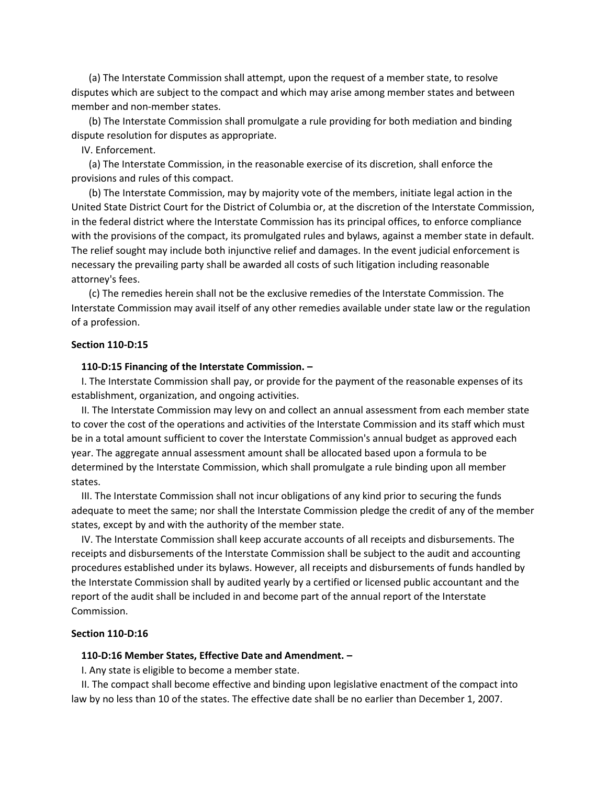(a) The Interstate Commission shall attempt, upon the request of a member state, to resolve disputes which are subject to the compact and which may arise among member states and between member and non-member states.

 (b) The Interstate Commission shall promulgate a rule providing for both mediation and binding dispute resolution for disputes as appropriate.

IV. Enforcement.

 (a) The Interstate Commission, in the reasonable exercise of its discretion, shall enforce the provisions and rules of this compact.

 (b) The Interstate Commission, may by majority vote of the members, initiate legal action in the United State District Court for the District of Columbia or, at the discretion of the Interstate Commission, in the federal district where the Interstate Commission has its principal offices, to enforce compliance with the provisions of the compact, its promulgated rules and bylaws, against a member state in default. The relief sought may include both injunctive relief and damages. In the event judicial enforcement is necessary the prevailing party shall be awarded all costs of such litigation including reasonable attorney's fees.

 (c) The remedies herein shall not be the exclusive remedies of the Interstate Commission. The Interstate Commission may avail itself of any other remedies available under state law or the regulation of a profession.

# **Section 110-D:15**

#### **110-D:15 Financing of the Interstate Commission. –**

 I. The Interstate Commission shall pay, or provide for the payment of the reasonable expenses of its establishment, organization, and ongoing activities.

 II. The Interstate Commission may levy on and collect an annual assessment from each member state to cover the cost of the operations and activities of the Interstate Commission and its staff which must be in a total amount sufficient to cover the Interstate Commission's annual budget as approved each year. The aggregate annual assessment amount shall be allocated based upon a formula to be determined by the Interstate Commission, which shall promulgate a rule binding upon all member states.

 III. The Interstate Commission shall not incur obligations of any kind prior to securing the funds adequate to meet the same; nor shall the Interstate Commission pledge the credit of any of the member states, except by and with the authority of the member state.

 IV. The Interstate Commission shall keep accurate accounts of all receipts and disbursements. The receipts and disbursements of the Interstate Commission shall be subject to the audit and accounting procedures established under its bylaws. However, all receipts and disbursements of funds handled by the Interstate Commission shall by audited yearly by a certified or licensed public accountant and the report of the audit shall be included in and become part of the annual report of the Interstate Commission.

# **Section 110-D:16**

# **110-D:16 Member States, Effective Date and Amendment. –**

I. Any state is eligible to become a member state.

 II. The compact shall become effective and binding upon legislative enactment of the compact into law by no less than 10 of the states. The effective date shall be no earlier than December 1, 2007.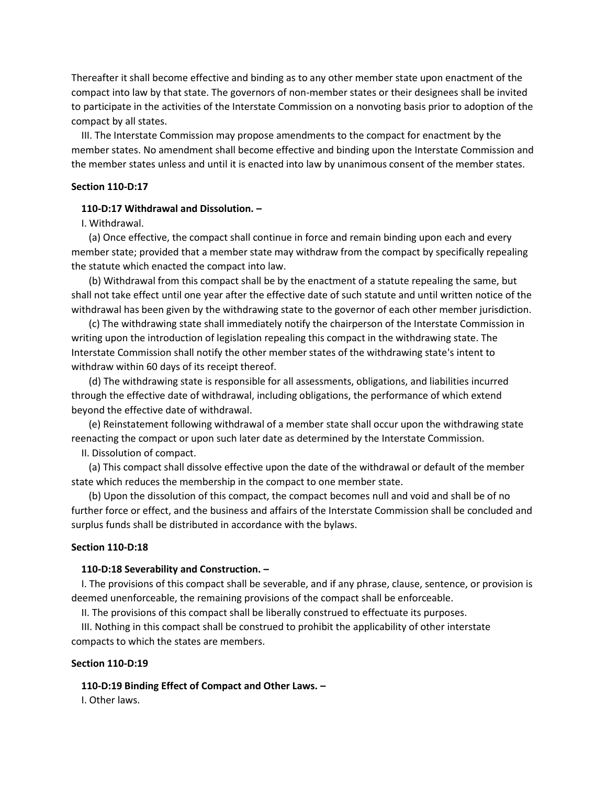Thereafter it shall become effective and binding as to any other member state upon enactment of the compact into law by that state. The governors of non-member states or their designees shall be invited to participate in the activities of the Interstate Commission on a nonvoting basis prior to adoption of the compact by all states.

 III. The Interstate Commission may propose amendments to the compact for enactment by the member states. No amendment shall become effective and binding upon the Interstate Commission and the member states unless and until it is enacted into law by unanimous consent of the member states.

# **Section 110-D:17**

# **110-D:17 Withdrawal and Dissolution. –**

# I. Withdrawal.

 (a) Once effective, the compact shall continue in force and remain binding upon each and every member state; provided that a member state may withdraw from the compact by specifically repealing the statute which enacted the compact into law.

 (b) Withdrawal from this compact shall be by the enactment of a statute repealing the same, but shall not take effect until one year after the effective date of such statute and until written notice of the withdrawal has been given by the withdrawing state to the governor of each other member jurisdiction.

 (c) The withdrawing state shall immediately notify the chairperson of the Interstate Commission in writing upon the introduction of legislation repealing this compact in the withdrawing state. The Interstate Commission shall notify the other member states of the withdrawing state's intent to withdraw within 60 days of its receipt thereof.

 (d) The withdrawing state is responsible for all assessments, obligations, and liabilities incurred through the effective date of withdrawal, including obligations, the performance of which extend beyond the effective date of withdrawal.

 (e) Reinstatement following withdrawal of a member state shall occur upon the withdrawing state reenacting the compact or upon such later date as determined by the Interstate Commission.

II. Dissolution of compact.

 (a) This compact shall dissolve effective upon the date of the withdrawal or default of the member state which reduces the membership in the compact to one member state.

 (b) Upon the dissolution of this compact, the compact becomes null and void and shall be of no further force or effect, and the business and affairs of the Interstate Commission shall be concluded and surplus funds shall be distributed in accordance with the bylaws.

# **Section 110-D:18**

#### **110-D:18 Severability and Construction. –**

 I. The provisions of this compact shall be severable, and if any phrase, clause, sentence, or provision is deemed unenforceable, the remaining provisions of the compact shall be enforceable.

II. The provisions of this compact shall be liberally construed to effectuate its purposes.

 III. Nothing in this compact shall be construed to prohibit the applicability of other interstate compacts to which the states are members.

#### **Section 110-D:19**

# **110-D:19 Binding Effect of Compact and Other Laws. –**

I. Other laws.